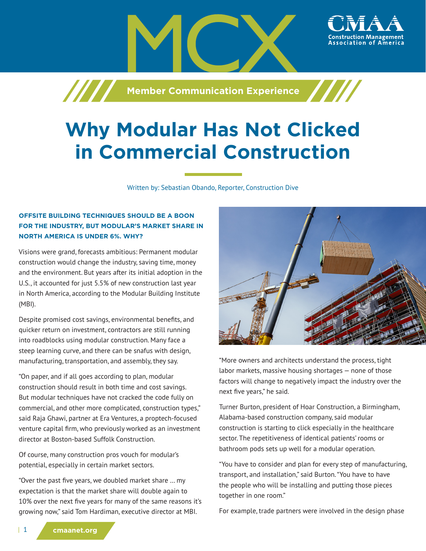**Machim School School School School Assembly** 

# **Why Modular Has Not Clicked in Commercial Construction**

Written by: Sebastian Obando, Reporter, Construction Dive

# **OFFSITE BUILDING TECHNIQUES SHOULD BE A BOON FOR THE INDUSTRY, BUT MODULAR'S MARKET SHARE IN NORTH AMERICA IS UNDER 6%. WHY?**

Visions were grand, forecasts ambitious: Permanent modular construction would change the industry, saving time, money and the environment. But years after its initial adoption in the U.S., it accounted for just 5.5% of new construction last year in North America, according to the Modular Building Institute (MBI).

Despite promised cost savings, environmental benefits, and quicker return on investment, contractors are still running into roadblocks using modular construction. Many face a steep learning curve, and there can be snafus with design, manufacturing, transportation, and assembly, they say.

"On paper, and if all goes according to plan, modular construction should result in both time and cost savings. But modular techniques have not cracked the code fully on commercial, and other more complicated, construction types," said Raja Ghawi, partner at Era Ventures, a proptech-focused venture capital firm, who previously worked as an investment director at Boston-based Suffolk Construction.

Of course, many construction pros vouch for modular's potential, especially in certain market sectors.

"Over the past five years, we doubled market share … my expectation is that the market share will double again to 10% over the next five years for many of the same reasons it's growing now," said Tom Hardiman, executive director at MBI.



ssociation of

"More owners and architects understand the process, tight labor markets, massive housing shortages — none of those factors will change to negatively impact the industry over the next five years," he said.

Turner Burton, president of Hoar Construction, a Birmingham, Alabama-based construction company, said modular construction is starting to click especially in the healthcare sector. The repetitiveness of identical patients' rooms or bathroom pods sets up well for a modular operation.

"You have to consider and plan for every step of manufacturing, transport, and installation," said Burton. "You have to have the people who will be installing and putting those pieces together in one room."

For example, trade partners were involved in the design phase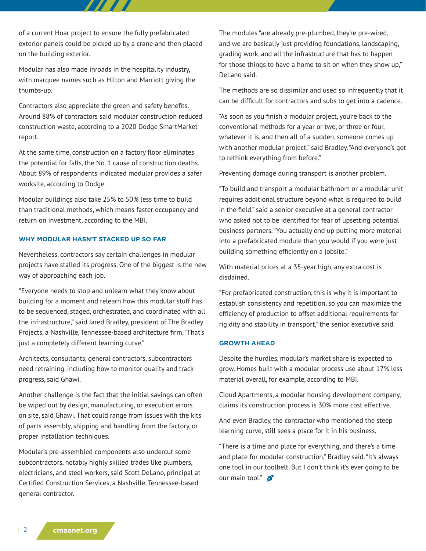of a current Hoar project to ensure the fully prefabricated exterior panels could be picked up by a crane and then placed on the building exterior.

7777

Modular has also made inroads in the hospitality industry, with marquee names such as Hilton and Marriott giving the thumbs-up.

Contractors also appreciate the green and safety benefits. Around 88% of contractors said modular construction reduced construction waste, according to a 2020 Dodge SmartMarket report.

At the same time, construction on a factory floor eliminates the potential for falls, the No. 1 cause of construction deaths. About 89% of respondents indicated modular provides a safer worksite, according to Dodge.

Modular buildings also take 25% to 50% less time to build than traditional methods, which means faster occupancy and return on investment, according to the MBI.

## **WHY MODULAR HASN'T STACKED UP SO FAR**

Nevertheless, contractors say certain challenges in modular projects have stalled its progress. One of the biggest is the new way of approaching each job.

"Everyone needs to stop and unlearn what they know about building for a moment and relearn how this modular stuff has to be sequenced, staged, orchestrated, and coordinated with all the infrastructure," said Jared Bradley, president of The Bradley Projects, a Nashville, Tennessee-based architecture firm. "That's just a completely different learning curve."

Architects, consultants, general contractors, subcontractors need retraining, including how to monitor quality and track progress, said Ghawi.

Another challenge is the fact that the initial savings can often be wiped out by design, manufacturing, or execution errors on site, said Ghawi. That could range from issues with the kits of parts assembly, shipping and handling from the factory, or proper installation techniques.

Modular's pre-assembled components also undercut some subcontractors, notably highly skilled trades like plumbers, electricians, and steel workers, said Scott DeLano, principal at Certified Construction Services, a Nashville, Tennessee-based general contractor.

The modules "are already pre-plumbed, they're pre-wired, and we are basically just providing foundations, landscaping, grading work, and all the infrastructure that has to happen for those things to have a home to sit on when they show up," DeLano said.

The methods are so dissimilar and used so infrequently that it can be difficult for contractors and subs to get into a cadence.

"As soon as you finish a modular project, you're back to the conventional methods for a year or two, or three or four, whatever it is, and then all of a sudden, someone comes up with another modular project," said Bradley. "And everyone's got to rethink everything from before."

Preventing damage during transport is another problem.

"To build and transport a modular bathroom or a modular unit requires additional structure beyond what is required to build in the field," said a senior executive at a general contractor who asked not to be identified for fear of upsetting potential business partners. "You actually end up putting more material into a prefabricated module than you would if you were just building something efficiently on a jobsite."

With material prices at a 35-year high, any extra cost is disdained.

"For prefabricated construction, this is why it is important to establish consistency and repetition, so you can maximize the efficiency of production to offset additional requirements for rigidity and stability in transport," the senior executive said.

#### **GROWTH AHEAD**

Despite the hurdles, modular's market share is expected to grow. Homes built with a modular process use about 17% less material overall, for example, according to MBI.

Cloud Apartments, a modular housing development company, claims its construction process is 30% more cost effective.

And even Bradley, the contractor who mentioned the steep learning curve, still sees a place for it in his business.

"There is a time and place for everything, and there's a time and place for modular construction," Bradley said. "It's always one tool in our toolbelt. But I don't think it's ever going to be our main tool." $\mathbf{S}$